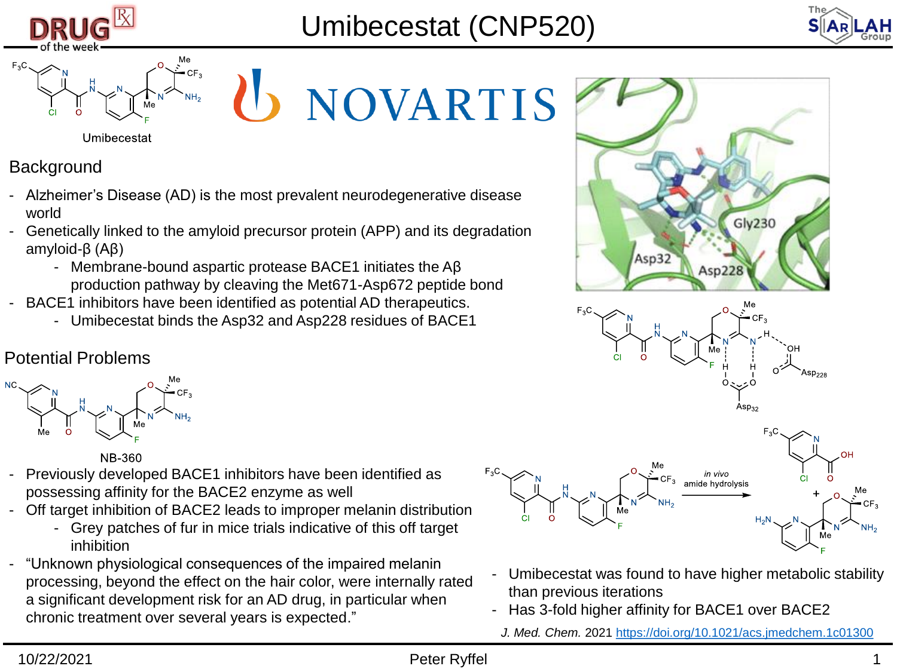





Umibecestat

U NOVARTIS

**Background** 

- Alzheimer's Disease (AD) is the most prevalent neurodegenerative disease world
- Genetically linked to the amyloid precursor protein (APP) and its degradation amyloid-β (Aβ)
	- Membrane-bound aspartic protease BACE1 initiates the Aβ production pathway by cleaving the Met671-Asp672 peptide bond
- BACE1 inhibitors have been identified as potential AD therapeutics.
	- Umibecestat binds the Asp32 and Asp228 residues of BACE1

## Potential Problems



**NB-360** 

- Previously developed BACE1 inhibitors have been identified as possessing affinity for the BACE2 enzyme as well
- Off target inhibition of BACE2 leads to improper melanin distribution
	- Grey patches of fur in mice trials indicative of this off target inhibition
- "Unknown physiological consequences of the impaired melanin processing, beyond the effect on the hair color, were internally rated a significant development risk for an AD drug, in particular when chronic treatment over several years is expected."







- Umibecestat was found to have higher metabolic stability than previous iterations
- Has 3-fold higher affinity for BACE1 over BACE2
	- *J. Med. Chem.* 2021<https://doi.org/10.1021/acs.jmedchem.1c01300>